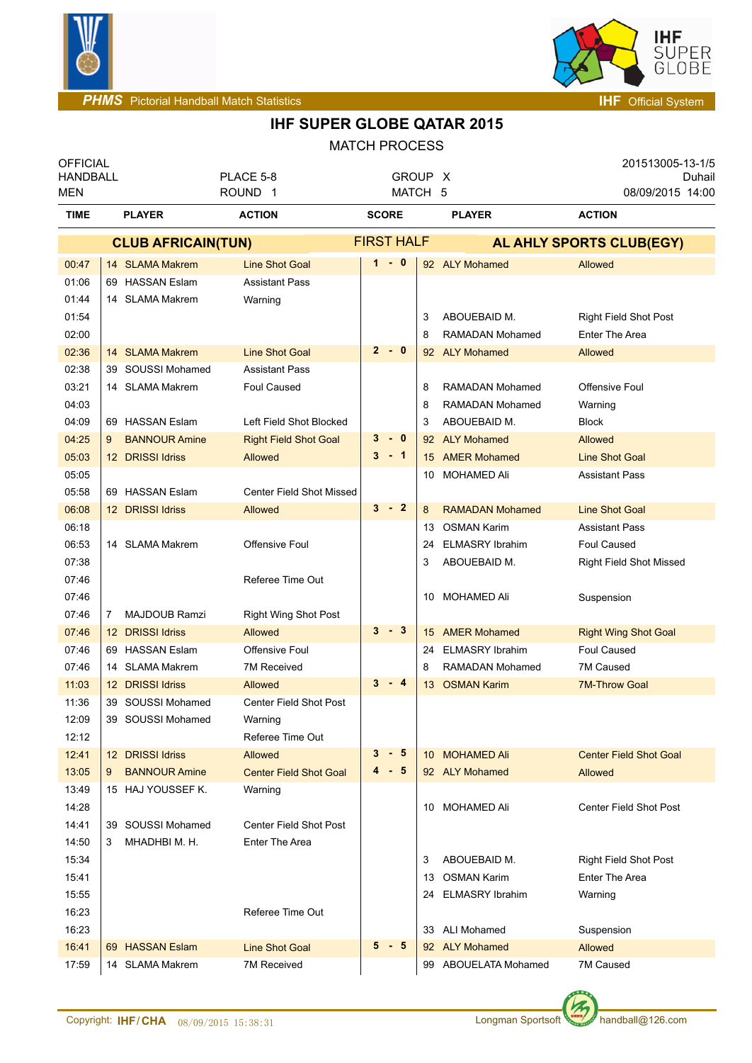



| <b>OFFICIAL</b><br><b>HANDBALL</b> |                           | PLACE 5-8                     | GROUP X           |    |                        | 201513005-13-1/5<br>Duhail     |
|------------------------------------|---------------------------|-------------------------------|-------------------|----|------------------------|--------------------------------|
| <b>MEN</b>                         |                           | ROUND <sub>1</sub>            | MATCH 5           |    |                        | 08/09/2015 14:00               |
| <b>TIME</b>                        | <b>PLAYER</b>             | <b>ACTION</b>                 | <b>SCORE</b>      |    | <b>PLAYER</b>          | <b>ACTION</b>                  |
|                                    | <b>CLUB AFRICAIN(TUN)</b> |                               | <b>FIRST HALF</b> |    |                        | AL AHLY SPORTS CLUB(EGY)       |
| 00:47                              | 14 SLAMA Makrem           | <b>Line Shot Goal</b>         | $1 - 0$           |    | 92 ALY Mohamed         | <b>Allowed</b>                 |
| 01:06                              | 69 HASSAN Eslam           | <b>Assistant Pass</b>         |                   |    |                        |                                |
| 01:44                              | 14 SLAMA Makrem           | Warning                       |                   |    |                        |                                |
| 01:54                              |                           |                               |                   | 3  | ABOUEBAID M.           | <b>Right Field Shot Post</b>   |
| 02:00                              |                           |                               |                   | 8  | RAMADAN Mohamed        | <b>Enter The Area</b>          |
| 02:36                              | 14 SLAMA Makrem           | <b>Line Shot Goal</b>         | $2 - 0$           |    | 92 ALY Mohamed         | <b>Allowed</b>                 |
| 02:38                              | 39 SOUSSI Mohamed         | <b>Assistant Pass</b>         |                   |    |                        |                                |
| 03:21                              | 14 SLAMA Makrem           | <b>Foul Caused</b>            |                   | 8  | RAMADAN Mohamed        | Offensive Foul                 |
| 04:03                              |                           |                               |                   | 8  | <b>RAMADAN Mohamed</b> | Warning                        |
| 04:09                              | 69 HASSAN Eslam           | Left Field Shot Blocked       |                   | 3  | ABOUEBAID M.           | <b>Block</b>                   |
| 04:25                              | <b>BANNOUR Amine</b><br>9 | <b>Right Field Shot Goal</b>  | $3 - 0$           |    | 92 ALY Mohamed         | <b>Allowed</b>                 |
| 05:03                              | 12 DRISSI Idriss          | <b>Allowed</b>                | $3 - 1$           |    | 15 AMER Mohamed        | <b>Line Shot Goal</b>          |
| 05:05                              |                           |                               |                   |    | 10 MOHAMED Ali         | <b>Assistant Pass</b>          |
| 05:58                              | 69 HASSAN Eslam           | Center Field Shot Missed      |                   |    |                        |                                |
| 06:08                              | 12 DRISSI Idriss          | Allowed                       | $3 - 2$           | 8  | <b>RAMADAN Mohamed</b> | <b>Line Shot Goal</b>          |
| 06:18                              |                           |                               |                   |    | 13 OSMAN Karim         | <b>Assistant Pass</b>          |
| 06:53                              | 14 SLAMA Makrem           | Offensive Foul                |                   | 24 | <b>ELMASRY Ibrahim</b> | <b>Foul Caused</b>             |
| 07:38                              |                           |                               |                   | 3  | ABOUEBAID M.           | <b>Right Field Shot Missed</b> |
| 07:46                              |                           | Referee Time Out              |                   |    |                        |                                |
| 07:46                              |                           |                               |                   |    | 10 MOHAMED Ali         | Suspension                     |
| 07:46                              | <b>MAJDOUB Ramzi</b><br>7 | <b>Right Wing Shot Post</b>   |                   |    |                        |                                |
| 07:46                              | 12 DRISSI Idriss          | Allowed                       | $3 - 3$           |    | 15 AMER Mohamed        | <b>Right Wing Shot Goal</b>    |
| 07:46                              | 69 HASSAN Eslam           | <b>Offensive Foul</b>         |                   | 24 | <b>ELMASRY Ibrahim</b> | <b>Foul Caused</b>             |
| 07:46                              | 14 SLAMA Makrem           | <b>7M Received</b>            |                   | 8  | RAMADAN Mohamed        | 7M Caused                      |
| 11:03                              | 12 DRISSI Idriss          | Allowed                       | $3 - 4$           |    | 13 OSMAN Karim         | <b>7M-Throw Goal</b>           |
| 11:36                              | 39 SOUSSI Mohamed         | Center Field Shot Post        |                   |    |                        |                                |
| 12:09                              | 39 SOUSSI Mohamed         | Warning                       |                   |    |                        |                                |
| 12:12                              |                           | Referee Time Out              |                   |    |                        |                                |
| 12:41                              | 12 DRISSI Idriss          | Allowed                       | 3<br>$-5$         |    | 10 MOHAMED Ali         | <b>Center Field Shot Goal</b>  |
| 13:05                              | <b>BANNOUR Amine</b><br>9 | <b>Center Field Shot Goal</b> | $4 - 5$           |    | 92 ALY Mohamed         | <b>Allowed</b>                 |
| 13:49                              | 15 HAJ YOUSSEF K.         | Warning                       |                   |    |                        |                                |
| 14:28                              |                           |                               |                   |    | 10 MOHAMED Ali         | <b>Center Field Shot Post</b>  |
| 14:41                              | 39 SOUSSI Mohamed         | Center Field Shot Post        |                   |    |                        |                                |
| 14:50                              | MHADHBI M. H.<br>3        | Enter The Area                |                   |    |                        |                                |
| 15:34                              |                           |                               |                   | 3  | ABOUEBAID M.           | <b>Right Field Shot Post</b>   |
| 15:41                              |                           |                               |                   | 13 | <b>OSMAN Karim</b>     | <b>Enter The Area</b>          |
| 15:55                              |                           |                               |                   |    | 24 ELMASRY Ibrahim     | Warning                        |
| 16:23                              |                           | Referee Time Out              |                   |    |                        |                                |
| 16:23                              |                           |                               |                   |    | 33 ALI Mohamed         | Suspension                     |
| 16:41                              | 69 HASSAN Eslam           | <b>Line Shot Goal</b>         | $5 - 5$           |    | 92 ALY Mohamed         | Allowed                        |
| 17:59                              | 14 SLAMA Makrem           | 7M Received                   |                   |    | 99 ABOUELATA Mohamed   | 7M Caused                      |

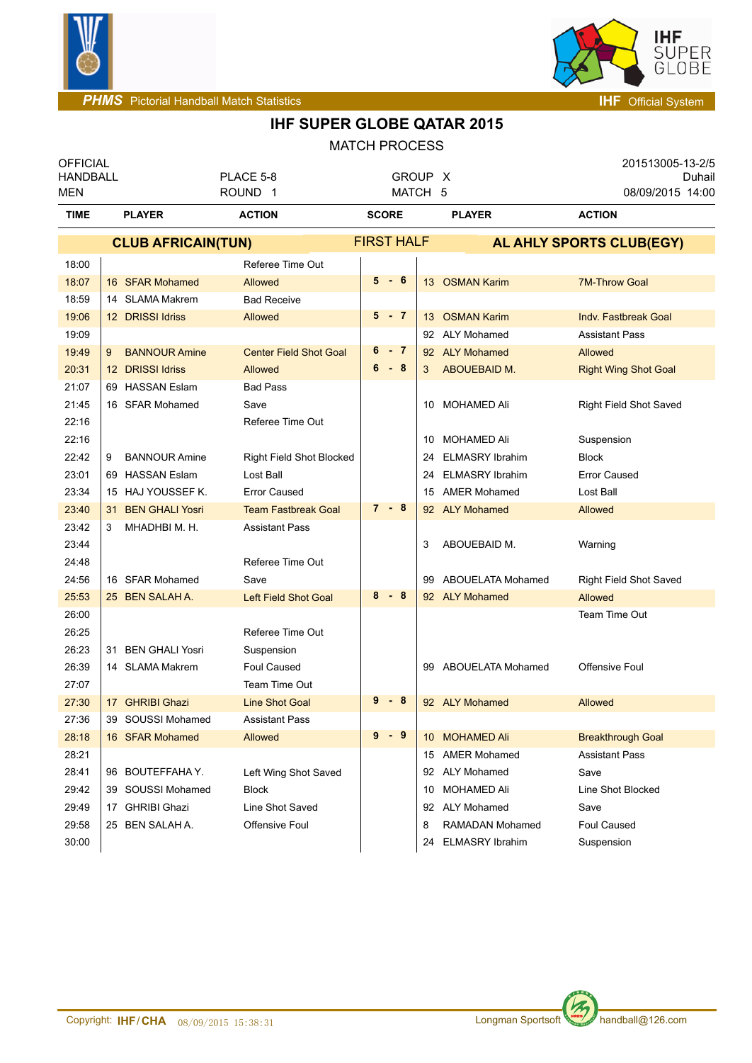



| <b>OFFICIAL</b><br><b>HANDBALL</b><br><b>MEN</b> |                              | PLACE 5-8<br>ROUND <sub>1</sub> | GROUP X<br>MATCH 5 |    |                        | 201513005-13-2/5<br>Duhail<br>08/09/2015 14:00 |
|--------------------------------------------------|------------------------------|---------------------------------|--------------------|----|------------------------|------------------------------------------------|
| <b>TIME</b>                                      | <b>PLAYER</b>                | <b>ACTION</b>                   | <b>SCORE</b>       |    | <b>PLAYER</b>          | <b>ACTION</b>                                  |
|                                                  | <b>CLUB AFRICAIN(TUN)</b>    |                                 | <b>FIRST HALF</b>  |    |                        | AL AHLY SPORTS CLUB(EGY)                       |
| 18:00                                            |                              | Referee Time Out                |                    |    |                        |                                                |
| 18:07                                            | 16 SFAR Mohamed              | Allowed                         | $5 - 6$            |    | 13 OSMAN Karim         | <b>7M-Throw Goal</b>                           |
| 18:59                                            | 14 SLAMA Makrem              | <b>Bad Receive</b>              |                    |    |                        |                                                |
| 19:06                                            | 12 DRISSI Idriss             | Allowed                         | $5 - 7$            |    | 13 OSMAN Karim         | Indv. Fastbreak Goal                           |
| 19:09                                            |                              |                                 |                    |    | 92 ALY Mohamed         | <b>Assistant Pass</b>                          |
| 19:49                                            | <b>BANNOUR Amine</b><br>9    | <b>Center Field Shot Goal</b>   | $6 - 7$            |    | 92 ALY Mohamed         | <b>Allowed</b>                                 |
| 20:31                                            | 12 DRISSI Idriss             | <b>Allowed</b>                  | $6 - 8$            | 3  | <b>ABOUEBAID M.</b>    | <b>Right Wing Shot Goal</b>                    |
| 21:07                                            | 69 HASSAN Eslam              | <b>Bad Pass</b>                 |                    |    |                        |                                                |
| 21:45                                            | 16 SFAR Mohamed              | Save                            |                    |    | 10 MOHAMED Ali         | Right Field Shot Saved                         |
| 22:16                                            |                              | Referee Time Out                |                    |    |                        |                                                |
| 22:16                                            |                              |                                 |                    |    | 10 MOHAMED Ali         | Suspension                                     |
| 22:42                                            | <b>BANNOUR Amine</b><br>9    | Right Field Shot Blocked        |                    | 24 | <b>ELMASRY Ibrahim</b> | <b>Block</b>                                   |
| 23:01                                            | 69 HASSAN Eslam              | Lost Ball                       |                    | 24 | <b>ELMASRY Ibrahim</b> | <b>Error Caused</b>                            |
| 23:34                                            | 15 HAJ YOUSSEF K.            | <b>Error Caused</b>             |                    | 15 | <b>AMER Mohamed</b>    | Lost Ball                                      |
| 23:40                                            | <b>BEN GHALI Yosri</b><br>31 | <b>Team Fastbreak Goal</b>      | $7 - 8$            |    | 92 ALY Mohamed         | <b>Allowed</b>                                 |
| 23:42                                            | MHADHBI M. H.<br>3           | <b>Assistant Pass</b>           |                    |    |                        |                                                |
| 23:44                                            |                              |                                 |                    | 3  | ABOUEBAID M.           | Warning                                        |
| 24:48                                            |                              | Referee Time Out                |                    |    |                        |                                                |
| 24:56                                            | 16 SFAR Mohamed              | Save                            |                    | 99 | ABOUELATA Mohamed      | <b>Right Field Shot Saved</b>                  |
| 25:53                                            | 25 BEN SALAH A.              | Left Field Shot Goal            | $8 - 8$            |    | 92 ALY Mohamed         | <b>Allowed</b>                                 |
| 26:00                                            |                              |                                 |                    |    |                        | Team Time Out                                  |
| 26:25                                            |                              | Referee Time Out                |                    |    |                        |                                                |
| 26:23                                            | 31 BEN GHALI Yosri           | Suspension                      |                    |    |                        |                                                |
| 26:39                                            | 14 SLAMA Makrem              | <b>Foul Caused</b>              |                    |    | 99 ABOUELATA Mohamed   | Offensive Foul                                 |
| 27:07                                            |                              | Team Time Out                   |                    |    |                        |                                                |
| 27:30                                            | 17 GHRIBI Ghazi              | <b>Line Shot Goal</b>           | 9<br>- 8           |    | 92 ALY Mohamed         | Allowed                                        |
| 27:36                                            | 39 SOUSSI Mohamed            | <b>Assistant Pass</b>           |                    |    |                        |                                                |
| 28:18                                            | 16 SFAR Mohamed              | Allowed                         | $9 - 9$            |    | 10 MOHAMED Ali         | <b>Breakthrough Goal</b>                       |
| 28:21                                            |                              |                                 |                    |    | 15 AMER Mohamed        | <b>Assistant Pass</b>                          |
| 28:41                                            | 96 BOUTEFFAHA Y.             | Left Wing Shot Saved            |                    |    | 92 ALY Mohamed         | Save                                           |
| 29:42                                            | 39 SOUSSI Mohamed            | Block                           |                    | 10 | MOHAMED Ali            | Line Shot Blocked                              |
| 29:49                                            | 17 GHRIBI Ghazi              | Line Shot Saved                 |                    |    | 92 ALY Mohamed         | Save                                           |
| 29:58                                            | 25 BEN SALAH A.              | Offensive Foul                  |                    | 8  | RAMADAN Mohamed        | <b>Foul Caused</b>                             |
| 30:00                                            |                              |                                 |                    | 24 | <b>ELMASRY Ibrahim</b> | Suspension                                     |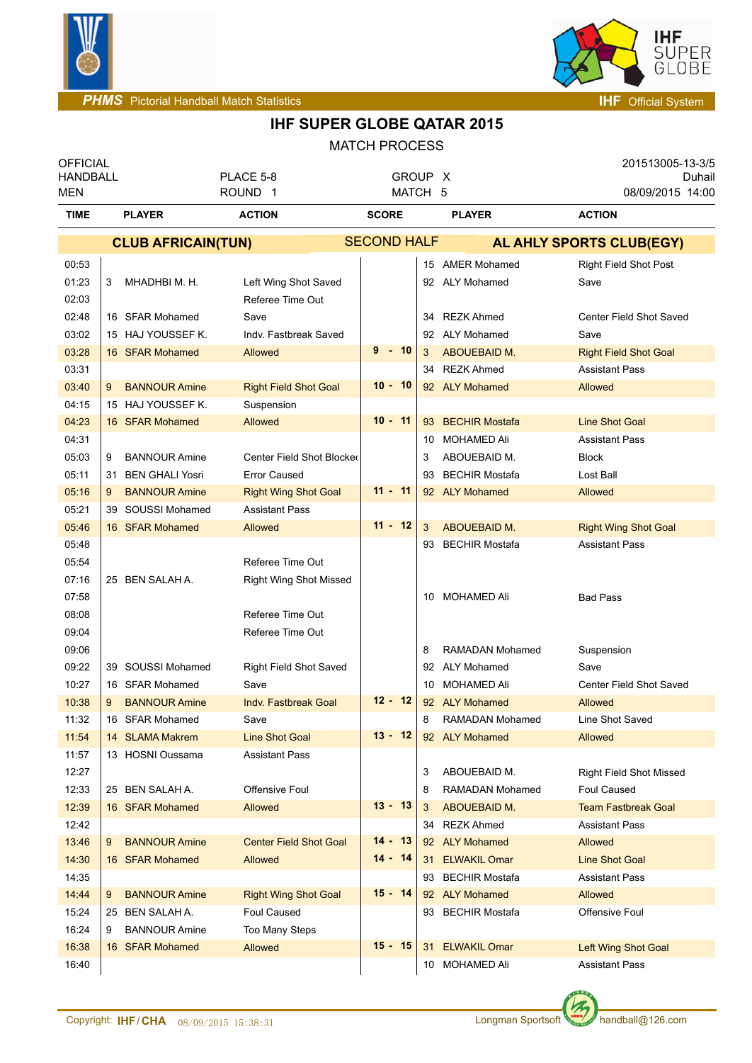



| <b>OFFICIAL</b><br><b>HANDBALL</b> |                                    | PLACE 5-8                     | GROUP X            |     |                                   | 201513005-13-3/5<br>Duhail        |
|------------------------------------|------------------------------------|-------------------------------|--------------------|-----|-----------------------------------|-----------------------------------|
| <b>MEN</b>                         |                                    | ROUND <sub>1</sub>            | MATCH 5            |     |                                   | 08/09/2015 14:00                  |
| <b>TIME</b>                        | <b>PLAYER</b>                      | <b>ACTION</b>                 | <b>SCORE</b>       |     | <b>PLAYER</b>                     | <b>ACTION</b>                     |
|                                    | <b>CLUB AFRICAIN(TUN)</b>          |                               | <b>SECOND HALF</b> |     |                                   | AL AHLY SPORTS CLUB(EGY)          |
| 00:53                              |                                    |                               |                    | 15  | <b>AMER Mohamed</b>               | <b>Right Field Shot Post</b>      |
| 01:23                              | MHADHBI M. H.<br>3                 | Left Wing Shot Saved          |                    |     | 92 ALY Mohamed                    | Save                              |
| 02:03                              |                                    | Referee Time Out              |                    |     |                                   |                                   |
| 02:48                              | 16 SFAR Mohamed                    | Save                          |                    | 34  | <b>REZK Ahmed</b>                 | Center Field Shot Saved           |
| 03:02                              | 15 HAJ YOUSSEF K.                  | Indv. Fastbreak Saved         |                    | 92  | <b>ALY Mohamed</b>                | Save                              |
| 03:28                              | 16 SFAR Mohamed                    | Allowed                       | $9 - 10$           | 3   | ABOUEBAID M.                      | <b>Right Field Shot Goal</b>      |
| 03:31                              |                                    |                               |                    | 34  | <b>REZK Ahmed</b>                 | <b>Assistant Pass</b>             |
| 03:40                              | <b>BANNOUR Amine</b><br>9          | <b>Right Field Shot Goal</b>  | $10 - 10$          |     | 92 ALY Mohamed                    | Allowed                           |
| 04:15                              | 15 HAJ YOUSSEF K.                  | Suspension                    |                    |     |                                   |                                   |
| 04:23                              | 16 SFAR Mohamed                    | Allowed                       | $10 - 11$          | 93  | <b>BECHIR Mostafa</b>             | <b>Line Shot Goal</b>             |
| 04:31                              |                                    |                               |                    | 10  | MOHAMED Ali                       | <b>Assistant Pass</b>             |
| 05:03                              | <b>BANNOUR Amine</b><br>9          | Center Field Shot Blocked     |                    | 3   | ABOUEBAID M.                      | <b>Block</b>                      |
| 05:11                              | 31 BEN GHALI Yosri                 | <b>Error Caused</b>           |                    | 93  | <b>BECHIR Mostafa</b>             | Lost Ball                         |
| 05:16                              | <b>BANNOUR Amine</b><br>9          | <b>Right Wing Shot Goal</b>   | $11 - 11$          |     | 92 ALY Mohamed                    | Allowed                           |
| 05:21                              | 39 SOUSSI Mohamed                  | <b>Assistant Pass</b>         |                    |     |                                   |                                   |
| 05:46                              | 16 SFAR Mohamed                    | Allowed                       | $11 - 12$          | 3   | ABOUEBAID M.                      | <b>Right Wing Shot Goal</b>       |
| 05:48                              |                                    |                               |                    | 93  | <b>BECHIR Mostafa</b>             | <b>Assistant Pass</b>             |
| 05:54                              |                                    | Referee Time Out              |                    |     |                                   |                                   |
| 07:16                              | 25 BEN SALAH A.                    | <b>Right Wing Shot Missed</b> |                    |     |                                   |                                   |
| 07:58                              |                                    |                               |                    | 10  | <b>MOHAMED Ali</b>                | <b>Bad Pass</b>                   |
| 08:08                              |                                    | Referee Time Out              |                    |     |                                   |                                   |
| 09:04                              |                                    | Referee Time Out              |                    |     |                                   |                                   |
| 09:06                              |                                    |                               |                    | 8   | <b>RAMADAN Mohamed</b>            | Suspension                        |
| 09:22                              | 39 SOUSSI Mohamed                  | <b>Right Field Shot Saved</b> |                    | 92  | <b>ALY Mohamed</b>                | Save                              |
| 10:27                              | 16 SFAR Mohamed                    | Save                          | $12 - 12$          | 10  | <b>MOHAMED Ali</b>                | Center Field Shot Saved           |
| 10:38                              | <b>BANNOUR Amine</b><br>9          | Indv. Fastbreak Goal          |                    | 8   | 92 ALY Mohamed                    | <b>Allowed</b>                    |
| 11:32<br>11:54                     | 16 SFAR Mohamed<br>14 SLAMA Makrem | Save<br><b>Line Shot Goal</b> | $13 - 12$          |     | RAMADAN Mohamed<br>92 ALY Mohamed | Line Shot Saved<br><b>Allowed</b> |
| 11:57                              | 13 HOSNI Oussama                   | <b>Assistant Pass</b>         |                    |     |                                   |                                   |
| 12:27                              |                                    |                               |                    | 3   | ABOUEBAID M.                      | <b>Right Field Shot Missed</b>    |
| 12:33                              | 25 BEN SALAH A.                    | Offensive Foul                |                    | 8   | RAMADAN Mohamed                   | <b>Foul Caused</b>                |
| 12:39                              | 16 SFAR Mohamed                    | Allowed                       | $13 - 13$          | 3   | ABOUEBAID M.                      | <b>Team Fastbreak Goal</b>        |
| 12:42                              |                                    |                               |                    | 34  | REZK Ahmed                        | <b>Assistant Pass</b>             |
| 13:46                              | 9<br><b>BANNOUR Amine</b>          | <b>Center Field Shot Goal</b> | $14 - 13$          |     | 92 ALY Mohamed                    | Allowed                           |
| 14:30                              | 16 SFAR Mohamed                    | Allowed                       | $14 - 14$          | 31  | <b>ELWAKIL Omar</b>               | <b>Line Shot Goal</b>             |
| 14:35                              |                                    |                               |                    | 93  | <b>BECHIR Mostafa</b>             | <b>Assistant Pass</b>             |
| 14:44                              | 9<br><b>BANNOUR Amine</b>          | <b>Right Wing Shot Goal</b>   | $15 - 14$          |     | 92 ALY Mohamed                    | <b>Allowed</b>                    |
| 15:24                              | 25 BEN SALAH A.                    | Foul Caused                   |                    | 93. | <b>BECHIR Mostafa</b>             | Offensive Foul                    |
| 16:24                              | <b>BANNOUR Amine</b><br>9          | Too Many Steps                |                    |     |                                   |                                   |
| 16:38                              | 16 SFAR Mohamed                    | Allowed                       | $15 - 15$          | 31  | <b>ELWAKIL Omar</b>               | Left Wing Shot Goal               |
| 16:40                              |                                    |                               |                    |     | 10 MOHAMED Ali                    | <b>Assistant Pass</b>             |
|                                    |                                    |                               |                    |     |                                   |                                   |

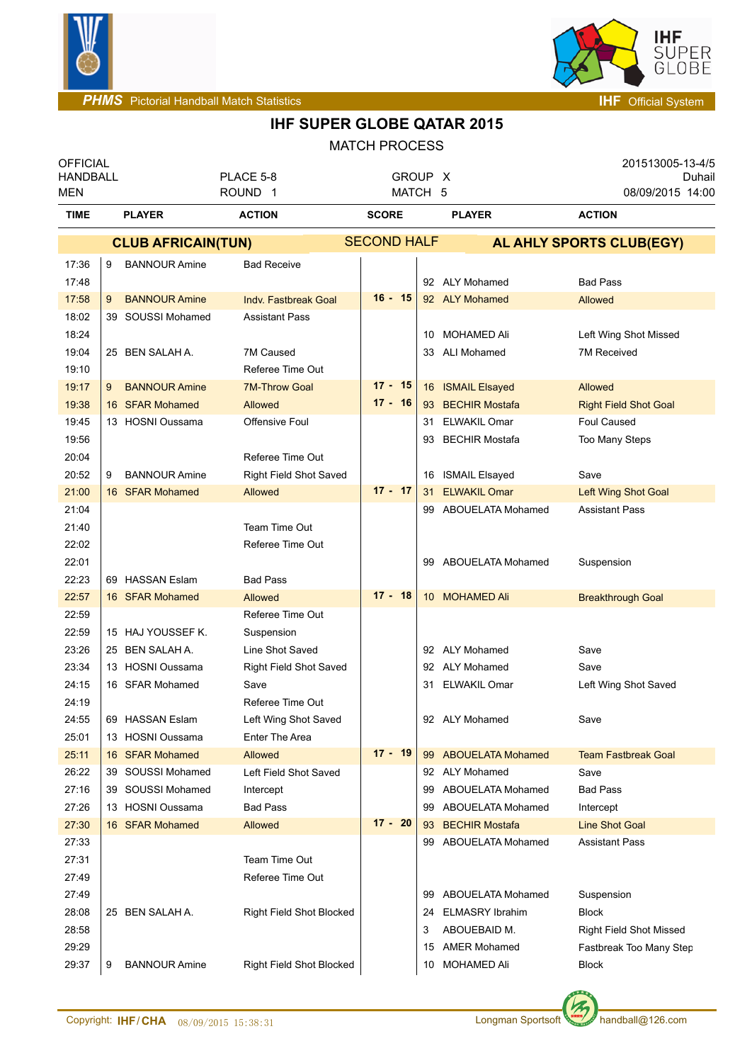



| <b>OFFICIAL</b><br><b>HANDBALL</b> |                 |                                       | PLACE 5-8                     |                    | GROUP X |                                              | 201513005-13-4/5<br>Duhail         |
|------------------------------------|-----------------|---------------------------------------|-------------------------------|--------------------|---------|----------------------------------------------|------------------------------------|
| <b>MEN</b>                         |                 |                                       | ROUND <sub>1</sub>            |                    | MATCH 5 |                                              | 08/09/2015 14:00                   |
| <b>TIME</b>                        | <b>PLAYER</b>   |                                       | <b>ACTION</b>                 | <b>SCORE</b>       |         | <b>PLAYER</b>                                | <b>ACTION</b>                      |
|                                    |                 | <b>CLUB AFRICAIN(TUN)</b>             |                               | <b>SECOND HALF</b> |         |                                              | AL AHLY SPORTS CLUB(EGY)           |
| 17:36                              | 9               | <b>BANNOUR Amine</b>                  | <b>Bad Receive</b>            |                    |         |                                              |                                    |
| 17:48                              |                 |                                       |                               |                    |         | 92 ALY Mohamed                               | <b>Bad Pass</b>                    |
| 17:58                              | 9               | <b>BANNOUR Amine</b>                  | <b>Indv. Fastbreak Goal</b>   | $16 - 15$          |         | 92 ALY Mohamed                               | <b>Allowed</b>                     |
| 18:02                              |                 | 39 SOUSSI Mohamed                     | <b>Assistant Pass</b>         |                    |         |                                              |                                    |
| 18:24                              |                 |                                       |                               |                    |         | 10 MOHAMED Ali                               | Left Wing Shot Missed              |
| 19:04                              | 25 BEN SALAH A. |                                       | 7M Caused                     |                    |         | 33 ALI Mohamed                               | 7M Received                        |
| 19:10                              |                 |                                       | Referee Time Out              |                    |         |                                              |                                    |
| 19:17                              | 9               | <b>BANNOUR Amine</b>                  | <b>7M-Throw Goal</b>          | $17 - 15$          |         | 16 ISMAIL Elsayed                            | <b>Allowed</b>                     |
| 19:38                              |                 | 16 SFAR Mohamed                       | Allowed                       | $17 - 16$          |         | 93 BECHIR Mostafa                            | <b>Right Field Shot Goal</b>       |
| 19:45                              |                 | 13 HOSNI Oussama                      | Offensive Foul                |                    |         | 31 ELWAKIL Omar                              | <b>Foul Caused</b>                 |
| 19:56                              |                 |                                       |                               |                    | 93      | <b>BECHIR Mostafa</b>                        | Too Many Steps                     |
| 20:04                              |                 |                                       | Referee Time Out              |                    |         |                                              |                                    |
| 20:52                              | 9               | <b>BANNOUR Amine</b>                  | <b>Right Field Shot Saved</b> |                    |         | 16 ISMAIL Elsayed                            | Save                               |
| 21:00                              | 16 SFAR Mohamed |                                       | Allowed                       | $17 - 17$          |         | 31 ELWAKIL Omar                              | Left Wing Shot Goal                |
| 21:04                              |                 |                                       |                               |                    |         | 99 ABOUELATA Mohamed                         | <b>Assistant Pass</b>              |
| 21:40                              |                 |                                       | Team Time Out                 |                    |         |                                              |                                    |
| 22:02                              |                 |                                       | Referee Time Out              |                    |         |                                              |                                    |
| 22:01                              |                 |                                       |                               |                    |         | 99 ABOUELATA Mohamed                         | Suspension                         |
| 22:23                              | 69 HASSAN Eslam |                                       | <b>Bad Pass</b>               |                    |         |                                              |                                    |
| 22:57                              |                 | 16 SFAR Mohamed                       | Allowed                       | $17 - 18$          |         | 10 MOHAMED Ali                               | <b>Breakthrough Goal</b>           |
| 22:59                              |                 |                                       | Referee Time Out              |                    |         |                                              |                                    |
| 22:59                              |                 | 15 HAJ YOUSSEF K.                     | Suspension                    |                    |         |                                              |                                    |
| 23:26                              | 25 BEN SALAH A. |                                       | Line Shot Saved               |                    |         | 92 ALY Mohamed                               | Save                               |
| 23:34                              |                 | 13 HOSNI Oussama                      | Right Field Shot Saved        |                    |         | 92 ALY Mohamed                               | Save                               |
| 24:15                              | 16 SFAR Mohamed |                                       | Save                          |                    |         | 31 ELWAKIL Omar                              | Left Wing Shot Saved               |
| 24:19                              |                 |                                       | Referee Time Out              |                    |         |                                              |                                    |
| 24:55                              | 69 HASSAN Eslam |                                       | Left Wing Shot Saved          |                    |         | 92 ALY Mohamed                               | Save                               |
| 25:01                              |                 | 13 HOSNI Oussama                      | Enter The Area                | $17 - 19$          |         |                                              |                                    |
| 25:11                              | 16 SFAR Mohamed |                                       | Allowed                       |                    |         | 99 ABOUELATA Mohamed<br>92 ALY Mohamed       | <b>Team Fastbreak Goal</b>         |
| 26:22                              |                 | 39 SOUSSI Mohamed                     | Left Field Shot Saved         |                    |         |                                              | Save                               |
| 27:16<br>27:26                     |                 | 39 SOUSSI Mohamed<br>13 HOSNI Oussama | Intercept<br><b>Bad Pass</b>  |                    |         | 99 ABOUELATA Mohamed<br>99 ABOUELATA Mohamed | <b>Bad Pass</b>                    |
| 27:30                              | 16 SFAR Mohamed |                                       | Allowed                       | $17 - 20$          |         | 93 BECHIR Mostafa                            | Intercept<br><b>Line Shot Goal</b> |
| 27:33                              |                 |                                       |                               |                    |         | 99 ABOUELATA Mohamed                         | <b>Assistant Pass</b>              |
| 27:31                              |                 |                                       | Team Time Out                 |                    |         |                                              |                                    |
| 27:49                              |                 |                                       | Referee Time Out              |                    |         |                                              |                                    |
| 27:49                              |                 |                                       |                               |                    |         | 99 ABOUELATA Mohamed                         | Suspension                         |
| 28:08                              | 25 BEN SALAH A. |                                       | Right Field Shot Blocked      |                    |         | 24 ELMASRY Ibrahim                           | <b>Block</b>                       |
| 28:58                              |                 |                                       |                               |                    | 3       | ABOUEBAID M.                                 | <b>Right Field Shot Missed</b>     |
| 29:29                              |                 |                                       |                               |                    | 15      | <b>AMER Mohamed</b>                          | Fastbreak Too Many Step            |
| 29:37                              | 9               | <b>BANNOUR Amine</b>                  | Right Field Shot Blocked      |                    |         | 10 MOHAMED Ali                               | <b>Block</b>                       |
|                                    |                 |                                       |                               |                    |         |                                              |                                    |